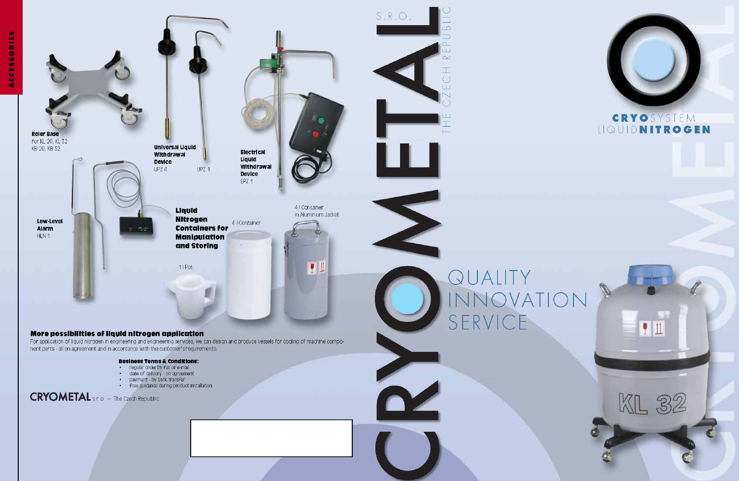



## CRYOSYSTEM LIQUIDNITROGEN